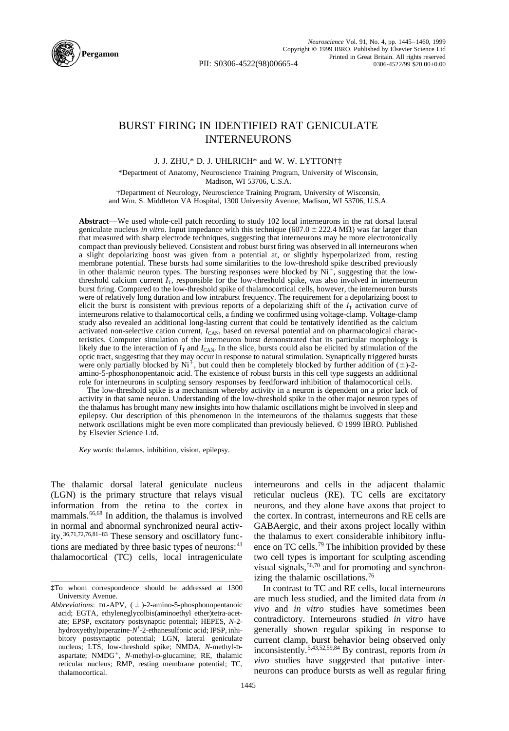

# BURST FIRING IN IDENTIFIED RAT GENICULATE INTERNEURONS

J. J. ZHU,\* D. J. UHLRICH\* and W. W. LYTTON†‡

\*Department of Anatomy, Neuroscience Training Program, University of Wisconsin, Madison, WI 53706, U.S.A.

†Department of Neurology, Neuroscience Training Program, University of Wisconsin, and Wm. S. Middleton VA Hospital, 1300 University Avenue, Madison, WI 53706, U.S.A.

**Abstract**—We used whole-cell patch recording to study 102 local interneurons in the rat dorsal lateral geniculate nucleus *in vitro*. Input impedance with this technique (607.0  $\pm$  222.4 M $\Omega$ ) was far larger than that measured with sharp electrode techniques, suggesting that interneurons may be more electrotonically compact than previously believed. Consistent and robust burst firing was observed in all interneurons when a slight depolarizing boost was given from a potential at, or slightly hyperpolarized from, resting membrane potential. These bursts had some similarities to the low-threshold spike described previously in other thalamic neuron types. The bursting responses were blocked by  $Ni<sup>+</sup>$ , suggesting that the lowthreshold calcium current  $I_T$ , responsible for the low-threshold spike, was also involved in interneuron burst firing. Compared to the low-threshold spike of thalamocortical cells, however, the interneuron bursts were of relatively long duration and low intraburst frequency. The requirement for a depolarizing boost to elicit the burst is consistent with previous reports of a depolarizing shift of the  $I_T$  activation curve of interneurons relative to thalamocortical cells, a finding we confirmed using voltage-clamp. Voltage-clamp study also revealed an additional long-lasting current that could be tentatively identified as the calcium activated non-selective cation current, *I*<sub>CAN</sub>, based on reversal potential and on pharmacological characteristics. Computer simulation of the interneuron burst demonstrated that its particular morphology is likely due to the interaction of  $I_T$  and  $I_{\text{CAN}}$ . In the slice, bursts could also be elicited by stimulation of the optic tract, suggesting that they may occur in response to natural stimulation. Synaptically triggered bursts were only partially blocked by Ni<sup>+</sup>, but could then be completely blocked by further addition of  $(\pm)$ -2amino-5-phosphonopentanoic acid. The existence of robust bursts in this cell type suggests an additional role for interneurons in sculpting sensory responses by feedforward inhibition of thalamocortical cells.

The low-threshold spike is a mechanism whereby activity in a neuron is dependent on a prior lack of activity in that same neuron. Understanding of the low-threshold spike in the other major neuron types of the thalamus has brought many new insights into how thalamic oscillations might be involved in sleep and epilepsy. Our description of this phenomenon in the interneurons of the thalamus suggests that these network oscillations might be even more complicated than previously believed. © 1999 IBRO. Published by Elsevier Science Ltd.

*Key words*: thalamus, inhibition, vision, epilepsy.

The thalamic dorsal lateral geniculate nucleus (LGN) is the primary structure that relays visual information from the retina to the cortex in mammals.<sup>66,68</sup> In addition, the thalamus is involved in normal and abnormal synchronized neural activity.36,71,72,76,81–83 These sensory and oscillatory functions are mediated by three basic types of neurons:<sup>41</sup> thalamocortical (TC) cells, local intrageniculate

interneurons and cells in the adjacent thalamic reticular nucleus (RE). TC cells are excitatory neurons, and they alone have axons that project to the cortex. In contrast, interneurons and RE cells are GABAergic, and their axons project locally within the thalamus to exert considerable inhibitory influence on TC cells.<sup>79</sup> The inhibition provided by these two cell types is important for sculpting ascending visual signals,56,70 and for promoting and synchronizing the thalamic oscillations.<sup>76</sup>

In contrast to TC and RE cells, local interneurons are much less studied, and the limited data from *in vivo* and *in vitro* studies have sometimes been contradictory. Interneurons studied *in vitro* have generally shown regular spiking in response to current clamp, burst behavior being observed only inconsistently.5,43,52,59,84 By contrast, reports from *in vivo* studies have suggested that putative interneurons can produce bursts as well as regular firing

<sup>‡</sup>To whom correspondence should be addressed at 1300 University Avenue.

*Abbreviations*: DL-APV,  $(\pm)$ -2-amino-5-phosphonopentanoic acid; EGTA, ethyleneglycolbis(aminoethyl ether)tetra-acetate; EPSP, excitatory postsynaptic potential; HEPES, *N*-2 hydroxyethylpiperazine-*N*<sup>0</sup> -2-ethanesulfonic acid; IPSP, inhibitory postsynaptic potential; LGN, lateral geniculate nucleus; LTS, low-threshold spike; NMDA, *N*-methyl-Daspartate; NMDG<sup>+</sup>, *N*-methyl-D-glucamine; RE, thalamic reticular nucleus; RMP, resting membrane potential; TC, thalamocortical.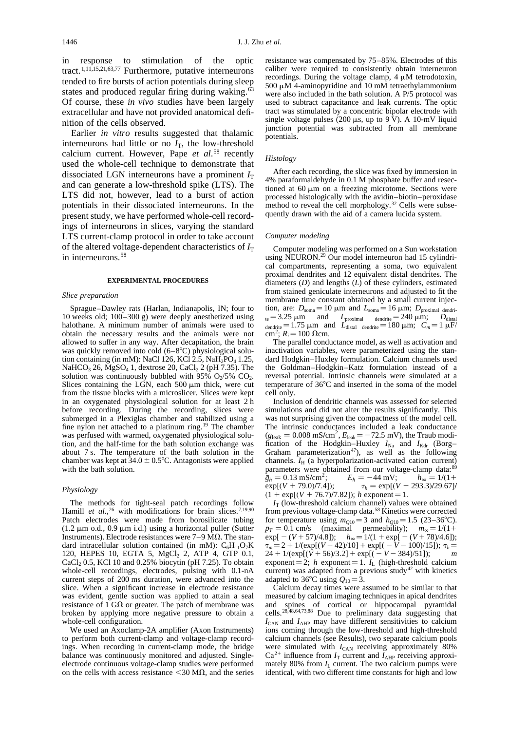in response to stimulation of the optic tract.1,11,15,21,63,77 Furthermore, putative interneurons tended to fire bursts of action potentials during sleep states and produced regular firing during waking.<sup>63</sup> Of course, these *in vivo* studies have been largely extracellular and have not provided anatomical definition of the cells observed.

Earlier *in vitro* results suggested that thalamic interneurons had little or no  $I<sub>T</sub>$ , the low-threshold calcium current. However, Pape *et al*. <sup>58</sup> recently used the whole-cell technique to demonstrate that dissociated LGN interneurons have a prominent  $I_T$ and can generate a low-threshold spike (LTS). The LTS did not, however, lead to a burst of action potentials in their dissociated interneurons. In the present study, we have performed whole-cell recordings of interneurons in slices, varying the standard LTS current-clamp protocol in order to take account of the altered voltage-dependent characteristics of  $I_T$ in interneurons.<sup>58</sup>

#### **EXPERIMENTAL PROCEDURES**

### *Slice preparation*

Sprague–Dawley rats (Harlan, Indianapolis, IN; four to 10 weeks old; 100–300 g) were deeply anesthetized using halothane. A minimum number of animals were used to obtain the necessary results and the animals were not allowed to suffer in any way. After decapitation, the brain was quickly removed into cold  $(6-8^{\circ}C)$  physiological solution containing (in mM): NaCl 126, KCl 2.5, Na $\overline{H_2PO_4}$  1.25, NaHCO<sub>3</sub> 26, MgSO<sub>4</sub> 1, dextrose 20, CaCl<sub>2</sub> 2 (pH 7.35). The solution was continuously bubbled with 95%  $O_2/5\%$  CO<sub>2</sub>. Slices containing the LGN, each  $500 \mu m$  thick, were cut from the tissue blocks with a microslicer. Slices were kept in an oxygenated physiological solution for at least 2 h before recording. During the recording, slices were submerged in a Plexiglas chamber and stabilized using a fine nylon net attached to a platinum ring.<sup>19</sup> The chamber was perfused with warmed, oxygenated physiological solution, and the half-time for the bath solution exchange was about 7 s. The temperature of the bath solution in the chamber was kept at  $34.0 \pm 0.5^{\circ}$ C. Antagonists were applied with the bath solution.

#### *Physiology*

The methods for tight-seal patch recordings follow Hamill *et al.*,<sup>26</sup> with modifications for brain slices.<sup>7,19,90</sup> Patch electrodes were made from borosilicate tubing  $(1.2 \mu m \text{ o.d., } 0.9 \mu m \text{ i.d.)}$  using a horizontal puller (Sutter Instruments). Electrode resistances were  $7-9$  M $\Omega$ . The standard intracellular solution contained (in mM):  $C_6H_{11}O_7K$ 120, HEPES 10, EGTA 5, MgCl<sub>2</sub> 2, ATP 4, GTP 0.1,  $CaCl<sub>2</sub> 0.5$ , KCl 10 and 0.25% biocytin (pH 7.25). To obtain whole-cell recordings, electrodes, pulsing with 0.1-nA current steps of 200 ms duration, were advanced into the slice. When a significant increase in electrode resistance was evident, gentle suction was applied to attain a seal resistance of  $1 \text{ G}\Omega$  or greater. The patch of membrane was broken by applying more negative pressure to obtain a whole-cell configuration.

We used an Axoclamp-2A amplifier (Axon Instruments) to perform both current-clamp and voltage-clamp recordings. When recording in current-clamp mode, the bridge balance was continuously monitored and adjusted. Singleelectrode continuous voltage-clamp studies were performed on the cells with access resistance  $\leq 30$  M $\Omega$ , and the series resistance was compensated by 75–85%. Electrodes of this caliber were required to consistently obtain interneuron recordings. During the voltage clamp,  $4 \mu M$  tetrodotoxin, 500  $\mu$ M 4-aminopyridine and 10 mM tetraethylammonium were also included in the bath solution. A P/5 protocol was used to subtract capacitance and leak currents. The optic tract was stimulated by a concentric bipolar electrode with single voltage pulses (200  $\mu$ s, up to 9 V). A 10-mV liquid junction potential was subtracted from all membrane potentials.

#### *Histology*

After each recording, the slice was fixed by immersion in 4% paraformaldehyde in 0.1 M phosphate buffer and resectioned at  $60 \mu m$  on a freezing microtome. Sections were processed histologically with the avidin–biotin–peroxidase method to reveal the cell morphology.<sup>32</sup> Cells were subsequently drawn with the aid of a camera lucida system.

#### *Computer modeling*

Computer modeling was performed on a Sun workstation using NEURON.<sup>29</sup> Our model interneuron had 15 cylindrical compartments, representing a soma, two equivalent proximal dendrites and 12 equivalent distal dendrites. The diameters (*D*) and lengths (*L*) of these cylinders, estimated from stained geniculate interneurons and adjusted to fit the membrane time constant obtained by a small current injection, are:  $D_{\text{sonna}} = 10 \mu \text{m}$  and  $L_{\text{sona}} = 16 \mu \text{m}$ ;  $D_{\text{proximal} \text{ dendric}} = 3.25 \mu \text{m}$  and  $L_{\text{proximal} \text{ dendric}} = 240 \mu \text{m}$ ;  $D_{\text{distal}}$ te = 3.25  $\mu$ m and *L*<sub>proximal dendrite = 240  $\mu$ m; *D*<sub>distal</sub></sub> dendrite =  $1.75 \mu$ m and *L*<sub>distal dendrite =  $180 \mu$ m;  $C_m = 1 \mu$ F/<br>cm<sup>2</sup>;  $R_i = 100 \Omega$ cm.</sub>

The parallel conductance model, as well as activation and inactivation variables, were parameterized using the standard Hodgkin–Huxley formulation. Calcium channels used the Goldman–Hodgkin–Katz formulation instead of a reversal potential. Intrinsic channels were simulated at a temperature of 36°C and inserted in the soma of the model cell only.

Inclusion of dendritic channels was assessed for selected simulations and did not alter the results significantly. This was not surprising given the compactness of the model cell. The intrinsic conductances included a leak conductance  $(\bar{g}_{\text{leak}} = 0.008 \text{ mS/cm}^2, E_{\text{leak}} = -72.5 \text{ mV})$ , the Traub modification of the Hodgkin–Huxley  $I_{\text{Na}}$  and  $I_{\text{Kdr}}$  (Borg– Graham parameterization<sup>47</sup>), as well as the following channels. *I*H (a hyperpolarization-activated cation current) parameters were obtained from our voltage-clamp data:<sup>89</sup><br> $\bar{g}_h = 0.13 \text{ mS/cm}^2$ ;  $E_h = -44 \text{ mV}$ ;  $h_\infty = 1/(1 +$  $\bar{g}_h = 0.13 \text{ mS/cm}^2$ ;<br>exp[(V + 79.0)/7.4]);  $E_h = -44$  mV;  $\tau_h = \exp[(V + 293.3)/29.67]$  $(1 + \exp[(V + 76.7)/7.82])$ ; *h* exponent = 1.

 $I<sub>T</sub>$  (low-threshold calcium channel) values were obtained from previous voltage-clamp data.58 Kinetics were corrected for temperature using  $m_{Q10} = 3$  and  $h_{Q10} = 1.5$  (23–36°C).  $\bar{p}_T = 0.1$  cm/s (maximal permeability);  $m_\infty = 1/(1+\frac{1}{2})$  $\exp[-(V+57)/4.8])$ ;  $h_{\infty} = 1/(1 + \exp[-(V+78)/4.6])$ ;  $\tau_m = 2 + 1/(\exp[(V + 42)/10] + \exp[(-V - 100)/15]); \ \tau_h = 24 + 1/(\exp[(V + 56)/3.2] + \exp[(-V - 384)/51]); \ \ m$ exponent = 2; *h* exponent = 1.  $I_L$  (high-threshold calcium current) was adapted from a previous study<sup>42</sup> with kinetics adapted to 36°C using  $Q_{10} = 3$ .

Calcium decay times were assumed to be similar to that measured by calcium imaging techniques in apical dendrites and spines of cortical or hippocampal pyramidal cells.28,48,64,73,88 Due to preliminary data suggesting that *I*<sub>CAN</sub> and *I*<sub>AHP</sub> may have different sensitivities to calcium ions coming through the low-threshold and high-threshold calcium channels (see Results), two separate calcium pools were simulated with *I*<sub>CAN</sub> receiving approximately 80%  $Ca^{2+}$  influence from  $I_T$  current and  $I_{AHP}$  receiving approximately 80% from  $I_L$  current. The two calcium pumps were identical, with two different time constants for high and low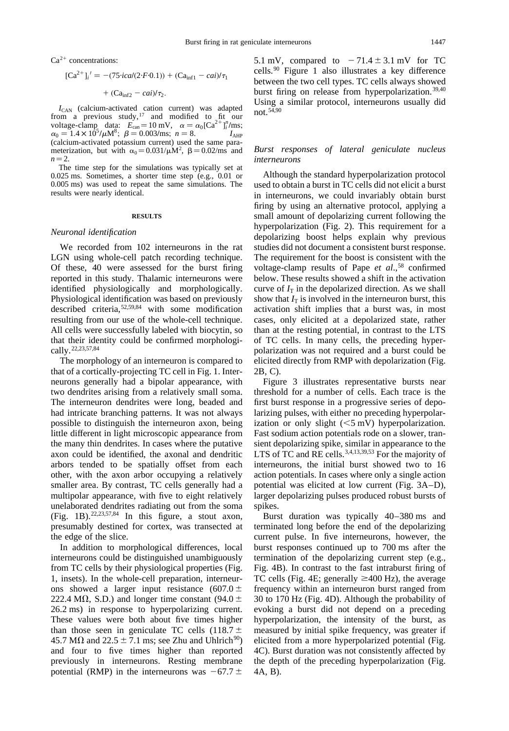$Ca^{2+}$  concentrations:

$$
[Ca2+]_i' = -(75 \cdot ical(2 \cdot F \cdot 0.1)) + (Cainf1 - cai)/\tau_1
$$
  
+ (Ca<sub>inf2</sub> - cai)/\tau\_2.

*I*CAN (calcium-activated cation current) was adapted from a previous study,<sup>17</sup> and modified to fit our voltage-clamp data:  $E_{\text{can}} = 10 \text{ mV}, \quad \alpha = \alpha_0 [\text{Ca}^{2+}]\textit{l}'_i/\text{ms};$ <br>  $\alpha_0 = 1.4 \times 10^5/\mu\text{M}^8; \; \beta = 0.003/\text{ms}; \; n = 8.$  *I*<sub>AHP</sub> (calcium-activated potassium current) used the same parameterization, but with  $\alpha_0 = 0.031/\mu\text{M}^2$ ,  $\beta = 0.02/\text{ms}$  and  $n = 2$ .

The time step for the simulations was typically set at 0.025 ms. Sometimes, a shorter time step (e.g., 0.01 or 0.005 ms) was used to repeat the same simulations. The results were nearly identical.

#### **RESULTS**

# *Neuronal identification*

We recorded from 102 interneurons in the rat LGN using whole-cell patch recording technique. Of these, 40 were assessed for the burst firing reported in this study. Thalamic interneurons were identified physiologically and morphologically. Physiological identification was based on previously described criteria,  $52,59,84$  with some modification resulting from our use of the whole-cell technique. All cells were successfully labeled with biocytin, so that their identity could be confirmed morphologically.22,23,57,84

The morphology of an interneuron is compared to that of a cortically-projecting TC cell in Fig. 1. Interneurons generally had a bipolar appearance, with two dendrites arising from a relatively small soma. The interneuron dendrites were long, beaded and had intricate branching patterns. It was not always possible to distinguish the interneuron axon, being little different in light microscopic appearance from the many thin dendrites. In cases where the putative axon could be identified, the axonal and dendritic arbors tended to be spatially offset from each other, with the axon arbor occupying a relatively smaller area. By contrast, TC cells generally had a multipolar appearance, with five to eight relatively unelaborated dendrites radiating out from the soma (Fig. 1B).  $22,23,57,84$  In this figure, a stout axon, presumably destined for cortex, was transected at the edge of the slice.

In addition to morphological differences, local interneurons could be distinguished unambiguously from TC cells by their physiological properties (Fig. 1, insets). In the whole-cell preparation, interneurons showed a larger input resistance  $(607.0 \pm$ 222.4 M $\Omega$ , S.D.) and longer time constant (94.0  $\pm$ 26.2 ms) in response to hyperpolarizing current. These values were both about five times higher than those seen in geniculate TC cells  $(118.7 \pm$ 45.7 M $\Omega$  and 22.5  $\pm$  7.1 ms; see Zhu and Uhlrich<sup>90</sup>) and four to five times higher than reported previously in interneurons. Resting membrane potential (RMP) in the interneurons was  $-67.7 \pm$  5.1 mV, compared to  $-71.4 \pm 3.1$  mV for TC cells.90 Figure 1 also illustrates a key difference between the two cell types. TC cells always showed burst firing on release from hyperpolarization.<sup>39,40</sup> Using a similar protocol, interneurons usually did not.54,90

# *Burst responses of lateral geniculate nucleus interneurons*

Although the standard hyperpolarization protocol used to obtain a burst in TC cells did not elicit a burst in interneurons, we could invariably obtain burst firing by using an alternative protocol, applying a small amount of depolarizing current following the hyperpolarization (Fig. 2). This requirement for a depolarizing boost helps explain why previous studies did not document a consistent burst response. The requirement for the boost is consistent with the voltage-clamp results of Pape *et al.*<sup>58</sup> confirmed below. These results showed a shift in the activation curve of  $I_T$  in the depolarized direction. As we shall show that  $I_T$  is involved in the interneuron burst, this activation shift implies that a burst was, in most cases, only elicited at a depolarized state, rather than at the resting potential, in contrast to the LTS of TC cells. In many cells, the preceding hyperpolarization was not required and a burst could be elicited directly from RMP with depolarization (Fig. 2B, C).

Figure 3 illustrates representative bursts near threshold for a number of cells. Each trace is the first burst response in a progressive series of depolarizing pulses, with either no preceding hyperpolarization or only slight  $(<5$  mV) hyperpolarization. Fast sodium action potentials rode on a slower, transient depolarizing spike, similar in appearance to the LTS of TC and RE cells.  $3,4,13,39,53$  For the majority of interneurons, the initial burst showed two to 16 action potentials. In cases where only a single action potential was elicited at low current (Fig. 3A–D), larger depolarizing pulses produced robust bursts of spikes.

Burst duration was typically 40–380 ms and terminated long before the end of the depolarizing current pulse. In five interneurons, however, the burst responses continued up to 700 ms after the termination of the depolarizing current step (e.g., Fig. 4B). In contrast to the fast intraburst firing of TC cells (Fig. 4E; generally  $\geq$ 400 Hz), the average frequency within an interneuron burst ranged from 30 to 170 Hz (Fig. 4D). Although the probability of evoking a burst did not depend on a preceding hyperpolarization, the intensity of the burst, as measured by initial spike frequency, was greater if elicited from a more hyperpolarized potential (Fig. 4C). Burst duration was not consistently affected by the depth of the preceding hyperpolarization (Fig. 4A, B).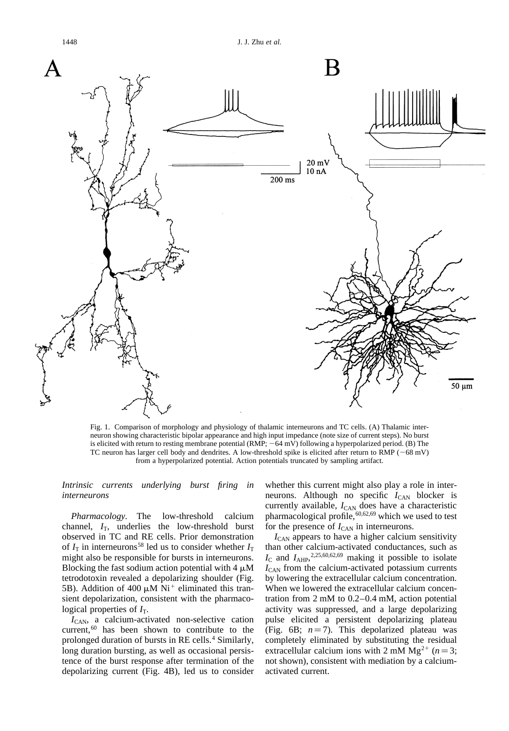

Fig. 1. Comparison of morphology and physiology of thalamic interneurons and TC cells. (A) Thalamic interneuron showing characteristic bipolar appearance and high input impedance (note size of current steps). No burst is elicited with return to resting membrane potential  $(R\overline{MP}; -64 \text{ mV})$  following a hyperpolarized period. (B) The TC neuron has larger cell body and dendrites. A low-threshold spike is elicited after return to RMP  $(-68 \text{ mV})$ from a hyperpolarized potential. Action potentials truncated by sampling artifact.

# *Intrinsic currents underlying burst firing in interneurons*

*Pharmacology.* The low-threshold calcium channel,  $I_T$ , underlies the low-threshold burst observed in TC and RE cells. Prior demonstration of  $I_T$  in interneurons<sup>58</sup> led us to consider whether  $I_T$ might also be responsible for bursts in interneurons. Blocking the fast sodium action potential with  $4 \mu M$ tetrodotoxin revealed a depolarizing shoulder (Fig. 5B). Addition of 400  $\mu$ M Ni<sup>+</sup> eliminated this transient depolarization, consistent with the pharmacological properties of  $I_T$ .

*I*CAN, a calcium-activated non-selective cation current,<sup>60</sup> has been shown to contribute to the prolonged duration of bursts in RE cells.4 Similarly, long duration bursting, as well as occasional persistence of the burst response after termination of the depolarizing current (Fig. 4B), led us to consider

whether this current might also play a role in interneurons. Although no specific *I*<sub>CAN</sub> blocker is currently available,  $I_{\text{CAN}}$  does have a characteristic pharmacological profile,  $60,62,69$  which we used to test for the presence of  $I_{\text{CAN}}$  in interneurons.

*I*<sub>CAN</sub> appears to have a higher calcium sensitivity than other calcium-activated conductances, such as  $I_{\rm C}$  and  $I_{\rm AHP}$ ,  $^{2,25,60,62,69}$  making it possible to isolate *I*<sub>CAN</sub> from the calcium-activated potassium currents by lowering the extracellular calcium concentration. When we lowered the extracellular calcium concentration from 2 mM to 0.2–0.4 mM, action potential activity was suppressed, and a large depolarizing pulse elicited a persistent depolarizing plateau (Fig.  $6B$ ;  $n = 7$ ). This depolarized plateau was completely eliminated by substituting the residual extracellular calcium ions with 2 mM Mg<sup>2+</sup>  $(n=3;$ not shown), consistent with mediation by a calciumactivated current.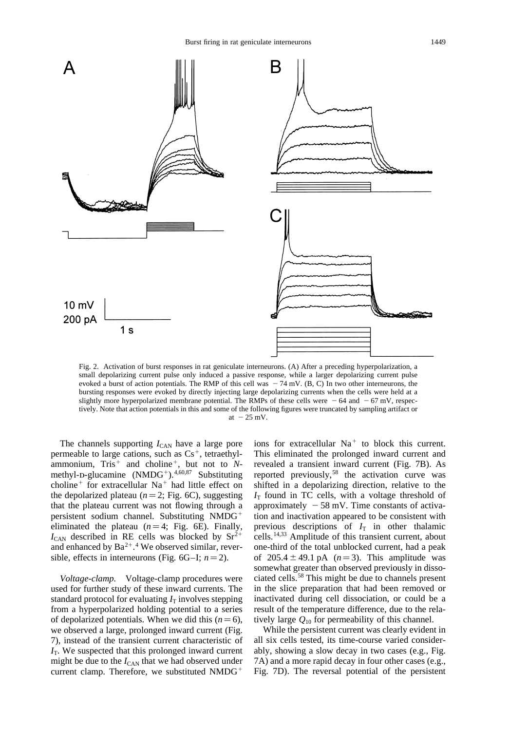

Fig. 2. Activation of burst responses in rat geniculate interneurons. (A) After a preceding hyperpolarization, a small depolarizing current pulse only induced a passive response, while a larger depolarizing current pulse evoked a burst of action potentials. The RMP of this cell was  $-74$  mV. (B, C) In two other interneurons, the bursting responses were evoked by directly injecting large depolarizing currents when the cells were held at a slightly more hyperpolarized membrane potential. The RMPs of these cells were  $-64$  and  $-67$  mV, respectively. Note that action potentials in this and some of the following figures were truncated by sampling artifact or at  $-25$  mV.

The channels supporting  $I_{\text{CAN}}$  have a large pore permeable to large cations, such as  $Cs^+$ , tetraethylammonium, Tris<sup>+</sup> and choline<sup>+</sup>, but not to  $N$ methyl-p-glucamine  $(NMDG<sup>+</sup>)$ .<sup>4,60,87</sup> Substituting choline<sup>+</sup> for extracellular  $Na<sup>+</sup>$  had little effect on the depolarized plateau  $(n = 2; Fig. 6C)$ , suggesting that the plateau current was not flowing through a persistent sodium channel. Substituting NMDG<sup>+</sup> eliminated the plateau  $(n=4;$  Fig. 6E). Finally,  $I_{\text{CAN}}$  described in RE cells was blocked by  $\text{Sr}^{2+}$ and enhanced by  $Ba^{2+}.4$  We observed similar, reversible, effects in interneurons (Fig.  $6G-I$ ;  $n = 2$ ).

*Voltage-clamp.* Voltage-clamp procedures were used for further study of these inward currents. The standard protocol for evaluating  $I<sub>T</sub>$  involves stepping from a hyperpolarized holding potential to a series of depolarized potentials. When we did this  $(n=6)$ , we observed a large, prolonged inward current (Fig. 7), instead of the transient current characteristic of *I*<sub>T</sub>. We suspected that this prolonged inward current might be due to the  $I_{\text{CAN}}$  that we had observed under current clamp. Therefore, we substituted NMDG<sup>+</sup>

ions for extracellular  $Na<sup>+</sup>$  to block this current. This eliminated the prolonged inward current and revealed a transient inward current (Fig. 7B). As reported previously,  $58$  the activation curve was shifted in a depolarizing direction, relative to the  $I<sub>T</sub>$  found in TC cells, with a voltage threshold of approximately  $-58$  mV. Time constants of activation and inactivation appeared to be consistent with previous descriptions of  $I<sub>T</sub>$  in other thalamic cells.14,33 Amplitude of this transient current, about one-third of the total unblocked current, had a peak of  $205.4 \pm 49.1$  pA  $(n = 3)$ . This amplitude was somewhat greater than observed previously in dissociated cells.58 This might be due to channels present in the slice preparation that had been removed or inactivated during cell dissociation, or could be a result of the temperature difference, due to the relatively large  $Q_{10}$  for permeability of this channel.

While the persistent current was clearly evident in all six cells tested, its time-course varied considerably, showing a slow decay in two cases (e.g., Fig. 7A) and a more rapid decay in four other cases (e.g., Fig. 7D). The reversal potential of the persistent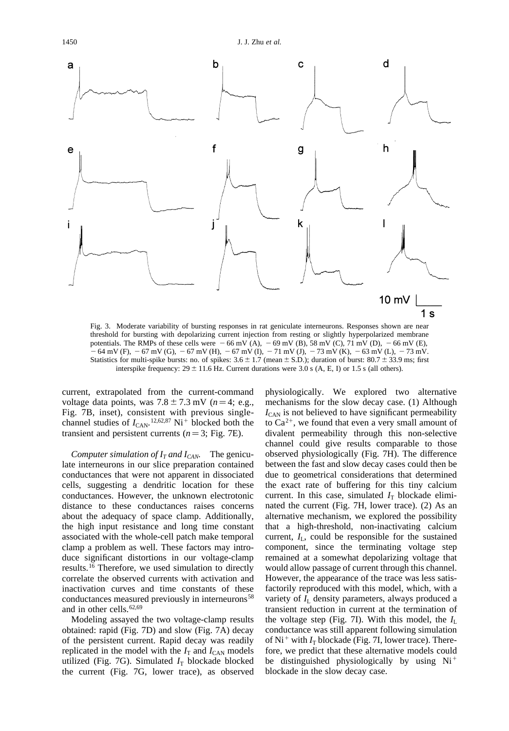

Fig. 3. Moderate variability of bursting responses in rat geniculate interneurons. Responses shown are near threshold for bursting with depolarizing current injection from resting or slightly hyperpolarized membrane potentials. The RMPs of these cells were  $-66$  mV (A),  $-69$  mV (B), 58 mV (C), 71 mV (D),  $-66$  mV (E),  $2 - 64$  mV (F),  $- 67$  mV (G),  $- 67$  mV (H),  $- 67$  mV (J),  $- 71$  mV (J),  $- 73$  mV (K),  $- 63$  mV (L),  $- 73$  mV. Statistics for multi-spike bursts: no. of spikes:  $3.6 \pm 1.7$  (mean  $\pm$  S.D.); duration of burst: 80.7  $\pm$  33.9 ms; first interspike frequency:  $29 \pm 11.6$  Hz. Current durations were 3.0 s (A, E, I) or 1.5 s (all others).

current, extrapolated from the current-command voltage data points, was  $7.8 \pm 7.3$  mV ( $n = 4$ ; e.g., Fig. 7B, inset), consistent with previous singlechannel studies of  $I_{\text{CAN}}$ .  $^{12,62,87}$  Ni<sup>+</sup> blocked both the transient and persistent currents  $(n=3; Fig. 7E)$ .

*Computer simulation of*  $I_T$  *and*  $I_{CAN.}$  *The genicu*late interneurons in our slice preparation contained conductances that were not apparent in dissociated cells, suggesting a dendritic location for these conductances. However, the unknown electrotonic distance to these conductances raises concerns about the adequacy of space clamp. Additionally, the high input resistance and long time constant associated with the whole-cell patch make temporal clamp a problem as well. These factors may introduce significant distortions in our voltage-clamp results.16 Therefore, we used simulation to directly correlate the observed currents with activation and inactivation curves and time constants of these conductances measured previously in interneurons<sup>58</sup> and in other cells.<sup>62,69</sup>

Modeling assayed the two voltage-clamp results obtained: rapid (Fig. 7D) and slow (Fig. 7A) decay of the persistent current. Rapid decay was readily replicated in the model with the  $I_T$  and  $I_{\text{CAN}}$  models utilized (Fig. 7G). Simulated  $I_T$  blockade blocked the current (Fig. 7G, lower trace), as observed physiologically. We explored two alternative mechanisms for the slow decay case. (1) Although  $I_{\text{CAN}}$  is not believed to have significant permeability to  $Ca^{2+}$ , we found that even a very small amount of divalent permeability through this non-selective channel could give results comparable to those observed physiologically (Fig. 7H). The difference between the fast and slow decay cases could then be due to geometrical considerations that determined the exact rate of buffering for this tiny calcium current. In this case, simulated  $I_T$  blockade eliminated the current (Fig. 7H, lower trace). (2) As an alternative mechanism, we explored the possibility that a high-threshold, non-inactivating calcium current,  $I_L$ , could be responsible for the sustained component, since the terminating voltage step remained at a somewhat depolarizing voltage that would allow passage of current through this channel. However, the appearance of the trace was less satisfactorily reproduced with this model, which, with a variety of  $I_L$  density parameters, always produced a transient reduction in current at the termination of the voltage step (Fig. 7I). With this model, the *I*<sup>L</sup> conductance was still apparent following simulation of Ni<sup>+</sup> with  $I_T$  blockade (Fig. 7I, lower trace). Therefore, we predict that these alternative models could be distinguished physiologically by using  $Ni<sup>+</sup>$ blockade in the slow decay case.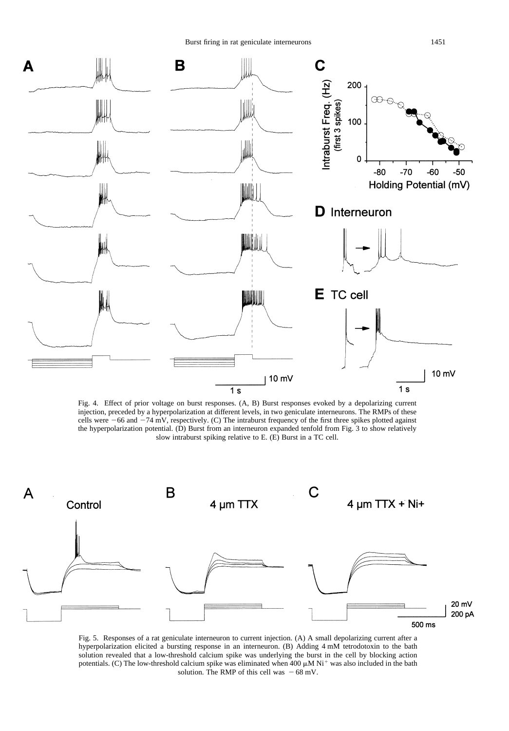

Fig. 4. Effect of prior voltage on burst responses. (A, B) Burst responses evoked by a depolarizing current injection, preceded by a hyperpolarization at different levels, in two geniculate interneurons. The RMPs of these cells were  $-66$  and  $-74$  mV, respectively. (C) The intraburst frequency of the first three spikes plotted against the hyperpolarization potential. (D) Burst from an interneuron expanded tenfold from Fig. 3 to show relatively slow intraburst spiking relative to E. (E) Burst in a TC cell.



Fig. 5. Responses of a rat geniculate interneuron to current injection. (A) A small depolarizing current after a hyperpolarization elicited a bursting response in an interneuron. (B) Adding 4 mM tetrodotoxin to the bath solution revealed that a low-threshold calcium spike was underlying the burst in the cell by blocking action potentials. (C) The low-threshold calcium spike was eliminated when  $400 \mu M N<sup>+</sup>$  was also included in the bath solution. The RMP of this cell was  $-68$  mV.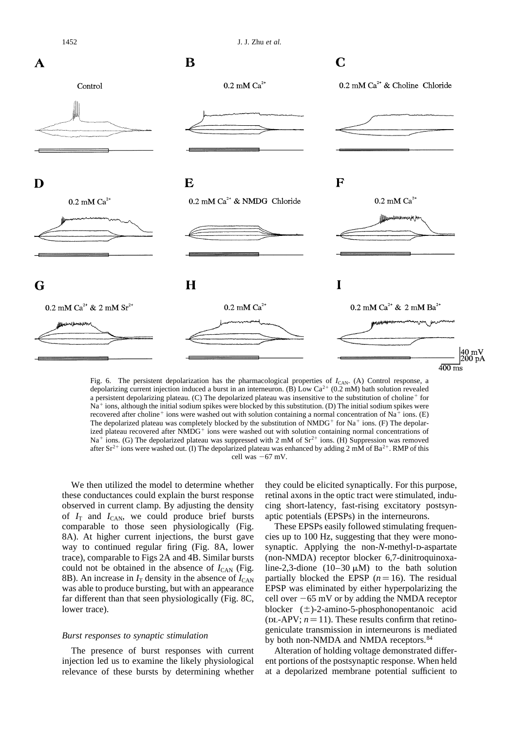1452 J. J. Zhu *et al.*



Fig. 6. The persistent depolarization has the pharmacological properties of  $I_{\text{CAN}}$ . (A) Control response, a depolarizing current injection induced a burst in an interneuron. (B) Low Ca<sup>2+</sup> (0.2 mM) bath solution revealed a persistent depolarizing plateau. (C) The depolarized plateau was insensitive to the substitution of choline<sup>+</sup> for  $Na<sup>+</sup>$  ions, although the initial sodium spikes were blocked by this substitution. (D) The initial sodium spikes were recovered after choline<sup>+</sup> ions were washed out with solution containing a normal concentration of Na<sup>+</sup> ions. (E) The depolarized plateau was completely blocked by the substitution of  $NMDG<sup>+</sup>$  for Na<sup>+</sup> ions. (F) The depolarized plateau recovered after  $NMDG<sup>+</sup>$  ions were washed out with solution containing normal concentrations of  $Na<sup>+</sup>$  ions. (G) The depolarized plateau was suppressed with 2 mM of  $Sr<sup>2+</sup>$  ions. (H) Suppression was removed after  $Sr^{2+}$  ions were washed out. (I) The depolarized plateau was enhanced by adding 2 mM of Ba<sup>2+</sup>. RMP of this cell was  $-67$  mV.

We then utilized the model to determine whether these conductances could explain the burst response observed in current clamp. By adjusting the density of  $I_T$  and  $I_{CAN}$ , we could produce brief bursts comparable to those seen physiologically (Fig. 8A). At higher current injections, the burst gave way to continued regular firing (Fig. 8A, lower trace), comparable to Figs 2A and 4B. Similar bursts could not be obtained in the absence of  $I_{\text{CAN}}$  (Fig. 8B). An increase in  $I_T$  density in the absence of  $I_{CAN}$ was able to produce bursting, but with an appearance far different than that seen physiologically (Fig. 8C, lower trace).

## *Burst responses to synaptic stimulation*

The presence of burst responses with current injection led us to examine the likely physiological relevance of these bursts by determining whether they could be elicited synaptically. For this purpose, retinal axons in the optic tract were stimulated, inducing short-latency, fast-rising excitatory postsynaptic potentials (EPSPs) in the interneurons.

These EPSPs easily followed stimulating frequencies up to 100 Hz, suggesting that they were monosynaptic. Applying the non-*N*-methyl-D-aspartate (non-NMDA) receptor blocker 6,7-dinitroquinoxaline-2,3-dione  $(10-30 \mu M)$  to the bath solution partially blocked the EPSP  $(n = 16)$ . The residual EPSP was eliminated by either hyperpolarizing the cell over  $-65$  mV or by adding the NMDA receptor blocker  $(\pm)$ -2-amino-5-phosphonopentanoic acid (DL-APV;  $n = 11$ ). These results confirm that retinogeniculate transmission in interneurons is mediated by both non-NMDA and NMDA receptors.<sup>84</sup>

Alteration of holding voltage demonstrated different portions of the postsynaptic response. When held at a depolarized membrane potential sufficient to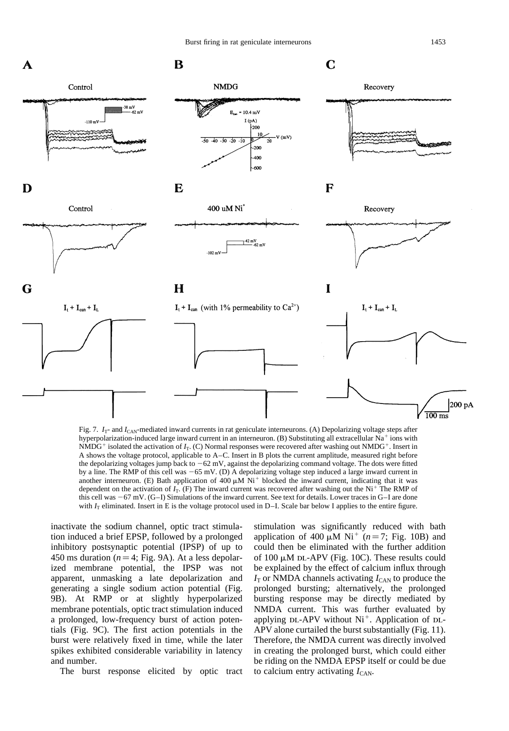

Fig. 7. *I*<sub>T</sub>- and *I*<sub>CAN</sub>-mediated inward currents in rat geniculate interneurons. (A) Depolarizing voltage steps after hyperpolarization-induced large inward current in an interneuron. (B) Substituting all extracellular Na<sup>+</sup> ions with NMDG<sup>+</sup> isolated the activation of  $I_T$ . (C) Normal responses were recovered after washing out NMDG<sup>+</sup>. Insert in A shows the voltage protocol, applicable to A–C. Insert in B plots the current amplitude, measured right before the depolarizing voltages jump back to  $-62$  mV, against the depolarizing command voltage. The dots were fitted by a line. The RMP of this cell was  $-65$  mV. (D) A depolarizing voltage step induced a large inward current in another interneuron. (E) Bath application of 400  $\mu$ M Ni<sup>+</sup> blocked the inward current, indicating that it was dependent on the activation of  $I_T$ . (F) The inward current was recovered after washing out the Ni<sup>+</sup> The RMP of this cell was  $-67$  mV. (G–I) Simulations of the inward current. See text for details. Lower traces in G–I are done with  $I_T$  eliminated. Insert in E is the voltage protocol used in D–I. Scale bar below I applies to the entire figure.

inactivate the sodium channel, optic tract stimulation induced a brief EPSP, followed by a prolonged inhibitory postsynaptic potential (IPSP) of up to 450 ms duration  $(n=4; Fig. 9A)$ . At a less depolarized membrane potential, the IPSP was not apparent, unmasking a late depolarization and generating a single sodium action potential (Fig. 9B). At RMP or at slightly hyperpolarized membrane potentials, optic tract stimulation induced a prolonged, low-frequency burst of action potentials (Fig. 9C). The first action potentials in the burst were relatively fixed in time, while the later spikes exhibited considerable variability in latency and number.

The burst response elicited by optic tract

stimulation was significantly reduced with bath application of 400  $\mu$ M Ni<sup>+</sup> (*n* = 7; Fig. 10B) and could then be eliminated with the further addition of 100  $\mu$ M DL-APV (Fig. 10C). These results could be explained by the effect of calcium influx through  $I_T$  or NMDA channels activating  $I_{\text{CAN}}$  to produce the prolonged bursting; alternatively, the prolonged bursting response may be directly mediated by NMDA current. This was further evaluated by applying  $DL-APV$  without  $Ni^+$ . Application of  $DL-$ APV alone curtailed the burst substantially (Fig. 11). Therefore, the NMDA current was directly involved in creating the prolonged burst, which could either be riding on the NMDA EPSP itself or could be due to calcium entry activating  $I_{\text{CAN}}$ .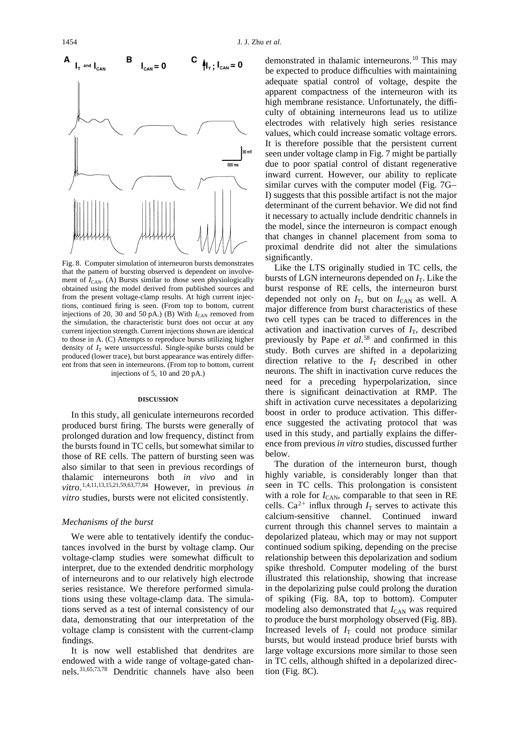

Fig. 8. Computer simulation of interneuron bursts demonstrates that the pattern of bursting observed is dependent on involvement of  $I_{CAN}$ . (A) Bursts similar to those seen physiologically obtained using the model derived from published sources and from the present voltage-clamp results. At high current injections, continued firing is seen. (From top to bottom, current injections of 20, 30 and 50 pA.) (B) With  $I_{\text{CAN}}$  removed from the simulation, the characteristic burst does not occur at any current injection strength. Current injections shown are identical to those in A. (C) Attempts to reproduce bursts utilizing higher density of  $I_T$  were unsuccessful. Single-spike bursts could be produced (lower trace), but burst appearance was entirely different from that seen in interneurons. (From top to bottom, current injections of 5, 10 and 20 pA.)

#### **DISCUSSION**

In this study, all geniculate interneurons recorded produced burst firing. The bursts were generally of prolonged duration and low frequency, distinct from the bursts found in TC cells, but somewhat similar to those of RE cells. The pattern of bursting seen was also similar to that seen in previous recordings of thalamic interneurons both *in vivo* and in *vitro*. 1,4,11,13,15,21,59,63,77,84 However, in previous *in vitro* studies, bursts were not elicited consistently.

# *Mechanisms of the burst*

We were able to tentatively identify the conductances involved in the burst by voltage clamp. Our voltage-clamp studies were somewhat difficult to interpret, due to the extended dendritic morphology of interneurons and to our relatively high electrode series resistance. We therefore performed simulations using these voltage-clamp data. The simulations served as a test of internal consistency of our data, demonstrating that our interpretation of the voltage clamp is consistent with the current-clamp findings.

It is now well established that dendrites are endowed with a wide range of voltage-gated channels.31,65,73,78 Dendritic channels have also been demonstrated in thalamic interneurons.10 This may be expected to produce difficulties with maintaining adequate spatial control of voltage, despite the apparent compactness of the interneuron with its high membrane resistance. Unfortunately, the difficulty of obtaining interneurons lead us to utilize electrodes with relatively high series resistance values, which could increase somatic voltage errors. It is therefore possible that the persistent current seen under voltage clamp in Fig. 7 might be partially due to poor spatial control of distant regenerative inward current. However, our ability to replicate similar curves with the computer model (Fig. 7G– I) suggests that this possible artifact is not the major determinant of the current behavior. We did not find it necessary to actually include dendritic channels in the model, since the interneuron is compact enough that changes in channel placement from soma to proximal dendrite did not alter the simulations significantly.

Like the LTS originally studied in TC cells, the bursts of LGN interneurons depended on  $I_T$ . Like the burst response of RE cells, the interneuron burst depended not only on  $I_T$ , but on  $I_{CAN}$  as well. A major difference from burst characteristics of these two cell types can be traced to differences in the activation and inactivation curves of  $I<sub>T</sub>$ , described previously by Pape *et al*. <sup>58</sup> and confirmed in this study. Both curves are shifted in a depolarizing direction relative to the  $I_T$  described in other neurons. The shift in inactivation curve reduces the need for a preceding hyperpolarization, since there is significant deinactivation at RMP. The shift in activation curve necessitates a depolarizing boost in order to produce activation. This difference suggested the activating protocol that was used in this study, and partially explains the difference from previous *in vitro* studies, discussed further below.

The duration of the interneuron burst, though highly variable, is considerably longer than that seen in TC cells. This prolongation is consistent with a role for  $I_{\text{CAN}}$ , comparable to that seen in RE cells.  $Ca^{2+}$  influx through  $I_T$  serves to activate this calcium-sensitive channel. Continued inward current through this channel serves to maintain a depolarized plateau, which may or may not support continued sodium spiking, depending on the precise relationship between this depolarization and sodium spike threshold. Computer modeling of the burst illustrated this relationship, showing that increase in the depolarizing pulse could prolong the duration of spiking (Fig. 8A, top to bottom). Computer modeling also demonstrated that *I*<sub>CAN</sub> was required to produce the burst morphology observed (Fig. 8B). Increased levels of  $I_T$  could not produce similar bursts, but would instead produce brief bursts with large voltage excursions more similar to those seen in TC cells, although shifted in a depolarized direction (Fig. 8C).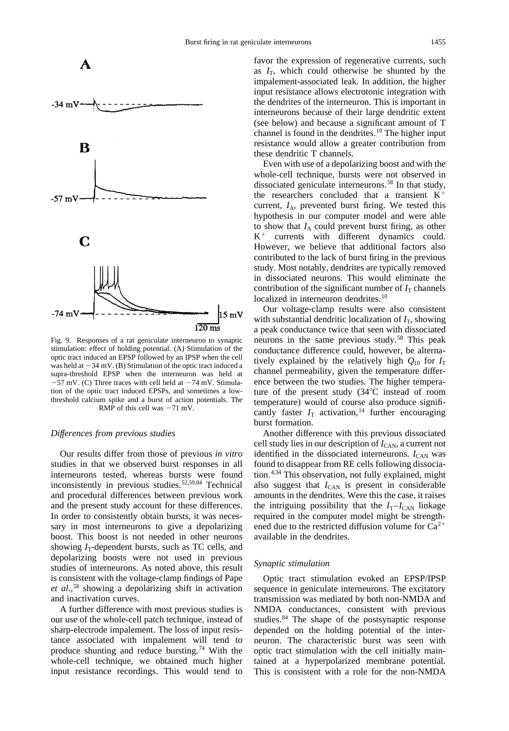

Fig. 9. Responses of a rat geniculate interneuron to synaptic stimulation: effect of holding potential. (A) Stimulation of the optic tract induced an EPSP followed by an IPSP when the cell was held at  $-34$  mV. (B) Stimulation of the optic tract induced a supra-threshold EPSP when the interneuron was held at  $-57$  mV. (C) Three traces with cell held at  $-74$  mV. Stimulation of the optic tract induced EPSPs, and sometimes a lowthreshold calcium spike and a burst of action potentials. The RMP of this cell was  $-71$  mV.

## *Differences from previous studies*

Our results differ from those of previous *in vitro* studies in that we observed burst responses in all interneurons tested, whereas bursts were found inconsistently in previous studies.52,59,84 Technical and procedural differences between previous work and the present study account for these differences. In order to consistently obtain bursts, it was necessary in most interneurons to give a depolarizing boost. This boost is not needed in other neurons showing  $I_T$ -dependent bursts, such as TC cells, and depolarizing boosts were not used in previous studies of interneurons. As noted above, this result is consistent with the voltage-clamp findings of Pape *et al*.,58 showing a depolarizing shift in activation and inactivation curves.

A further difference with most previous studies is our use of the whole-cell patch technique, instead of sharp-electrode impalement. The loss of input resistance associated with impalement will tend to produce shunting and reduce bursting.<sup>74</sup> With the whole-cell technique, we obtained much higher input resistance recordings. This would tend to

favor the expression of regenerative currents, such as  $I<sub>T</sub>$ , which could otherwise be shunted by the impalement-associated leak. In addition, the higher input resistance allows electrotonic integration with the dendrites of the interneuron. This is important in interneurons because of their large dendritic extent (see below) and because a significant amount of T channel is found in the dendrites.<sup>10</sup> The higher input resistance would allow a greater contribution from these dendritic T channels.

Even with use of a depolarizing boost and with the whole-cell technique, bursts were not observed in dissociated geniculate interneurons.<sup>58</sup> In that study, the researchers concluded that a transient  $K^+$ current,  $I_A$ , prevented burst firing. We tested this hypothesis in our computer model and were able to show that  $I_A$  could prevent burst firing, as other  $K^+$  currents with different dynamics could. However, we believe that additional factors also contributed to the lack of burst firing in the previous study. Most notably, dendrites are typically removed in dissociated neurons. This would eliminate the contribution of the significant number of  $I<sub>T</sub>$  channels localized in interneuron dendrites.<sup>10</sup>

Our voltage-clamp results were also consistent with substantial dendritic localization of  $I_T$ , showing a peak conductance twice that seen with dissociated neurons in the same previous study.<sup>58</sup> This peak conductance difference could, however, be alternatively explained by the relatively high  $Q_{10}$  for  $I_T$ channel permeability, given the temperature difference between the two studies. The higher temperature of the present study  $(34^{\circ}$ C instead of room temperature) would of course also produce significantly faster  $I_T$  activation,<sup>14</sup> further encouraging burst formation.

Another difference with this previous dissociated cell study lies in our description of  $I_{\text{CAN}}$ , a current not identified in the dissociated interneurons.  $I_{\text{CAN}}$  was found to disappear from RE cells following dissociation.4,34 This observation, not fully explained, might also suggest that  $I_{\text{CAN}}$  is present in considerable amounts in the dendrites. Were this the case, it raises the intriguing possibility that the  $I_T-I_{\text{CAN}}$  linkage required in the computer model might be strengthened due to the restricted diffusion volume for  $Ca^{2+}$ available in the dendrites.

## *Synaptic stimulation*

Optic tract stimulation evoked an EPSP/IPSP sequence in geniculate interneurons. The excitatory transmission was mediated by both non-NMDA and NMDA conductances, consistent with previous studies.<sup>84</sup> The shape of the postsynaptic response depended on the holding potential of the interneuron. The characteristic burst was seen with optic tract stimulation with the cell initially maintained at a hyperpolarized membrane potential. This is consistent with a role for the non-NMDA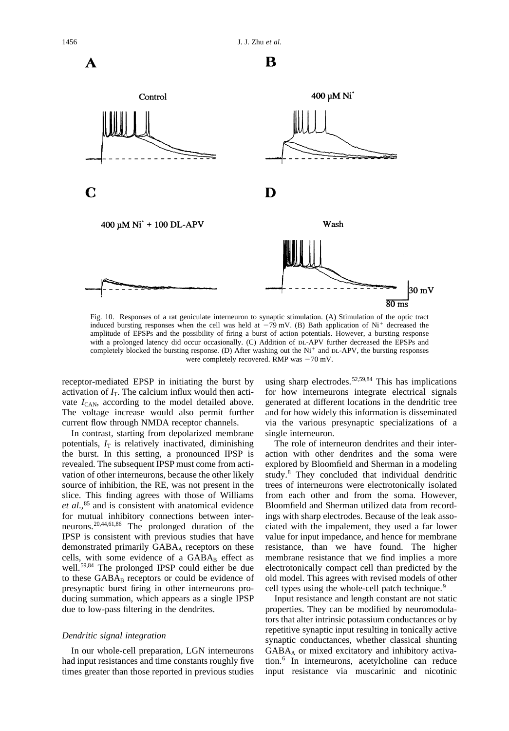

Fig. 10. Responses of a rat geniculate interneuron to synaptic stimulation. (A) Stimulation of the optic tract induced bursting responses when the cell was held at  $-79$  mV. (B) Bath application of Ni<sup>+</sup> decreased the amplitude of EPSPs and the possibility of firing a burst of action potentials. However, a bursting response with a prolonged latency did occur occasionally. (C) Addition of DL-APV further decreased the EPSPs and completely blocked the bursting response. (D) After washing out the  $Ni<sup>+</sup>$  and  $DL-APV$ , the bursting responses were completely recovered. RMP was  $-70$  mV.

receptor-mediated EPSP in initiating the burst by activation of  $I<sub>T</sub>$ . The calcium influx would then activate  $I_{\text{CAN}}$ , according to the model detailed above. The voltage increase would also permit further current flow through NMDA receptor channels.

In contrast, starting from depolarized membrane potentials,  $I_T$  is relatively inactivated, diminishing the burst. In this setting, a pronounced IPSP is revealed. The subsequent IPSP must come from activation of other interneurons, because the other likely source of inhibition, the RE, was not present in the slice. This finding agrees with those of Williams et al.,<sup>85</sup> and is consistent with anatomical evidence for mutual inhibitory connections between interneurons.20,44,61,86 The prolonged duration of the IPSP is consistent with previous studies that have demonstrated primarily  $GABA_A$  receptors on these cells, with some evidence of a  $GABA_B$  effect as well.59,84 The prolonged IPSP could either be due to these GABAB receptors or could be evidence of presynaptic burst firing in other interneurons producing summation, which appears as a single IPSP due to low-pass filtering in the dendrites.

### *Dendritic signal integration*

In our whole-cell preparation, LGN interneurons had input resistances and time constants roughly five times greater than those reported in previous studies using sharp electrodes.<sup>52,59,84</sup> This has implications for how interneurons integrate electrical signals generated at different locations in the dendritic tree and for how widely this information is disseminated via the various presynaptic specializations of a single interneuron.

The role of interneuron dendrites and their interaction with other dendrites and the soma were explored by Bloomfield and Sherman in a modeling study.8 They concluded that individual dendritic trees of interneurons were electrotonically isolated from each other and from the soma. However, Bloomfield and Sherman utilized data from recordings with sharp electrodes. Because of the leak associated with the impalement, they used a far lower value for input impedance, and hence for membrane resistance, than we have found. The higher membrane resistance that we find implies a more electrotonically compact cell than predicted by the old model. This agrees with revised models of other cell types using the whole-cell patch technique.<sup>9</sup>

Input resistance and length constant are not static properties. They can be modified by neuromodulators that alter intrinsic potassium conductances or by repetitive synaptic input resulting in tonically active synaptic conductances, whether classical shunting  $GABA_A$  or mixed excitatory and inhibitory activation.6 In interneurons, acetylcholine can reduce input resistance via muscarinic and nicotinic

A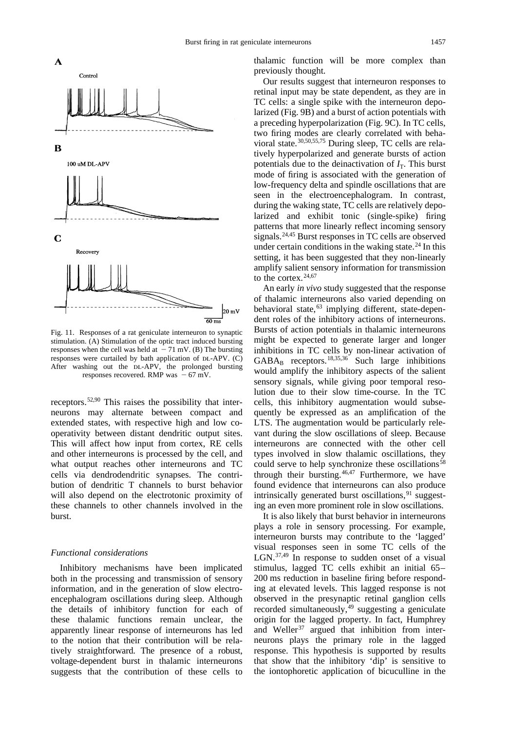

Fig. 11. Responses of a rat geniculate interneuron to synaptic stimulation. (A) Stimulation of the optic tract induced bursting responses when the cell was held at  $-71$  mV. (B) The bursting  $r$ esponses were curtailed by bath application of  $DL-APV$ . (C) After washing out the DL-APV, the prolonged bursting responses recovered. RMP was  $-67$  mV.

receptors.<sup>52,90</sup> This raises the possibility that interneurons may alternate between compact and extended states, with respective high and low cooperativity between distant dendritic output sites. This will affect how input from cortex, RE cells and other interneurons is processed by the cell, and what output reaches other interneurons and TC cells via dendrodendritic synapses. The contribution of dendritic T channels to burst behavior will also depend on the electrotonic proximity of these channels to other channels involved in the burst.

## *Functional considerations*

Inhibitory mechanisms have been implicated both in the processing and transmission of sensory information, and in the generation of slow electroencephalogram oscillations during sleep. Although the details of inhibitory function for each of these thalamic functions remain unclear, the apparently linear response of interneurons has led to the notion that their contribution will be relatively straightforward. The presence of a robust, voltage-dependent burst in thalamic interneurons suggests that the contribution of these cells to thalamic function will be more complex than previously thought.

Our results suggest that interneuron responses to retinal input may be state dependent, as they are in TC cells: a single spike with the interneuron depolarized (Fig. 9B) and a burst of action potentials with a preceding hyperpolarization (Fig. 9C). In TC cells, two firing modes are clearly correlated with behavioral state.<sup>30,50,55,75</sup> During sleep, TC cells are relatively hyperpolarized and generate bursts of action potentials due to the deinactivation of  $I<sub>T</sub>$ . This burst mode of firing is associated with the generation of low-frequency delta and spindle oscillations that are seen in the electroencephalogram. In contrast, during the waking state, TC cells are relatively depolarized and exhibit tonic (single-spike) firing patterns that more linearly reflect incoming sensory signals.<sup>24,45</sup> Burst responses in TC cells are observed under certain conditions in the waking state. $24$  In this setting, it has been suggested that they non-linearly amplify salient sensory information for transmission to the cortex.  $24,67$ 

An early *in vivo* study suggested that the response of thalamic interneurons also varied depending on behavioral state, $63$  implying different, state-dependent roles of the inhibitory actions of interneurons. Bursts of action potentials in thalamic interneurons might be expected to generate larger and longer inhibitions in TC cells by non-linear activation of  $GABA_B$  receptors.<sup>18,35,36</sup> Such large inhibitions would amplify the inhibitory aspects of the salient sensory signals, while giving poor temporal resolution due to their slow time-course. In the TC cells, this inhibitory augmentation would subsequently be expressed as an amplification of the LTS. The augmentation would be particularly relevant during the slow oscillations of sleep. Because interneurons are connected with the other cell types involved in slow thalamic oscillations, they could serve to help synchronize these oscillations<sup>58</sup> through their bursting.  $46,47$  Furthermore, we have found evidence that interneurons can also produce intrinsically generated burst oscillations,  $91$  suggesting an even more prominent role in slow oscillations.

It is also likely that burst behavior in interneurons plays a role in sensory processing. For example, interneuron bursts may contribute to the 'lagged' visual responses seen in some TC cells of the LGN.<sup>37,49</sup> In response to sudden onset of a visual stimulus, lagged TC cells exhibit an initial 65– 200 ms reduction in baseline firing before responding at elevated levels. This lagged response is not observed in the presynaptic retinal ganglion cells recorded simultaneously,<sup>49</sup> suggesting a geniculate origin for the lagged property. In fact, Humphrey and Weller<sup>37</sup> argued that inhibition from interneurons plays the primary role in the lagged response. This hypothesis is supported by results that show that the inhibitory 'dip' is sensitive to the iontophoretic application of bicuculline in the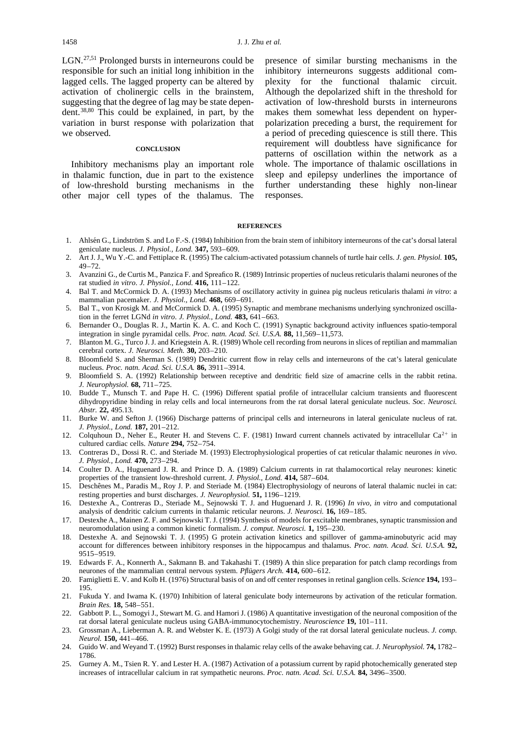LGN.<sup>27,51</sup> Prolonged bursts in interneurons could be responsible for such an initial long inhibition in the lagged cells. The lagged property can be altered by activation of cholinergic cells in the brainstem, suggesting that the degree of lag may be state dependent.38,80 This could be explained, in part, by the variation in burst response with polarization that we observed.

## **CONCLUSION**

Inhibitory mechanisms play an important role in thalamic function, due in part to the existence of low-threshold bursting mechanisms in the other major cell types of the thalamus. The presence of similar bursting mechanisms in the inhibitory interneurons suggests additional complexity for the functional thalamic circuit. Although the depolarized shift in the threshold for activation of low-threshold bursts in interneurons makes them somewhat less dependent on hyperpolarization preceding a burst, the requirement for a period of preceding quiescence is still there. This requirement will doubtless have significance for patterns of oscillation within the network as a whole. The importance of thalamic oscillations in sleep and epilepsy underlines the importance of further understanding these highly non-linear responses.

## **REFERENCES**

- 1. Ahlsen G., Lindström S. and Lo F.-S. (1984) Inhibition from the brain stem of inhibitory interneurons of the cat's dorsal lateral geniculate nucleus. *J. Physiol., Lond.* **347,** 593–609.
- 2. Art J. J., Wu Y.-C. and Fettiplace R. (1995) The calcium-activated potassium channels of turtle hair cells. *J. gen. Physiol.* **105,** 49–72.
- 3. Avanzini G., de Curtis M., Panzica F. and Spreafico R. (1989) Intrinsic properties of nucleus reticularis thalami neurones of the rat studied *in vitro*. *J. Physiol., Lond.* **416,** 111–122.
- 4. Bal T. and McCormick D. A. (1993) Mechanisms of oscillatory activity in guinea pig nucleus reticularis thalami *in vitro*: a mammalian pacemaker. *J. Physiol., Lond.* **468,** 669–691.
- 5. Bal T., von Krosigk M. and McCormick D. A. (1995) Synaptic and membrane mechanisms underlying synchronized oscillation in the ferret LGNd *in vitro*. *J. Physiol., Lond.* **483,** 641–663.
- 6. Bernander O., Douglas R. J., Martin K. A. C. and Koch C. (1991) Synaptic background activity influences spatio-temporal integration in single pyramidal cells. *Proc. natn. Acad. Sci. U.S.A.* **88,** 11,569–11,573.
- 7. Blanton M. G., Turco J. J. and Kriegstein A. R. (1989) Whole cell recording from neurons in slices of reptilian and mammalian cerebral cortex. *J. Neurosci. Meth.* **30,** 203–210.
- 8. Bloomfield S. and Sherman S. (1989) Dendritic current flow in relay cells and interneurons of the cat's lateral geniculate nucleus. *Proc. natn. Acad. Sci. U.S.A.* **86,** 3911–3914.
- 9. Bloomfield S. A. (1992) Relationship between receptive and dendritic field size of amacrine cells in the rabbit retina. *J. Neurophysiol.* **68,** 711–725.
- 10. Budde T., Munsch T. and Pape H. C. (1996) Different spatial profile of intracellular calcium transients and fluorescent dihydropyridine binding in relay cells and local interneurons from the rat dorsal lateral geniculate nucleus. *Soc. Neurosci. Abstr.* **22,** 495.13.
- 11. Burke W. and Sefton J. (1966) Discharge patterns of principal cells and interneurons in lateral geniculate nucleus of rat. *J. Physiol., Lond.* **187,** 201–212.
- 12. Colquhoun D., Neher E., Reuter H. and Stevens C. F. (1981) Inward current channels activated by intracellular  $Ca^{2+}$  in cultured cardiac cells. *Nature* **294,** 752–754.
- 13. Contreras D., Dossi R. C. and Steriade M. (1993) Electrophysiological properties of cat reticular thalamic neurones *in vivo*. *J. Physiol., Lond.* **470,** 273–294.
- 14. Coulter D. A., Huguenard J. R. and Prince D. A. (1989) Calcium currents in rat thalamocortical relay neurones: kinetic properties of the transient low-threshold current. *J. Physiol., Lond.* **414,** 587–604.
- 15. Deschênes M., Paradis M., Roy J. P. and Steriade M. (1984) Electrophysiology of neurons of lateral thalamic nuclei in cat: resting properties and burst discharges. *J. Neurophysiol.* **51,** 1196–1219.
- 16. Destexhe A., Contreras D., Steriade M., Sejnowski T. J. and Huguenard J. R. (1996) *In vivo*, *in vitro* and computational analysis of dendritic calcium currents in thalamic reticular neurons. *J. Neurosci.* **16,** 169–185.
- 17. Destexhe A., Mainen Z. F. and Sejnowski T. J. (1994) Synthesis of models for excitable membranes, synaptic transmission and neuromodulation using a common kinetic formalism. *J. comput. Neurosci.* **1,** 195–230.
- 18. Destexhe A. and Sejnowski T. J. (1995) G protein activation kinetics and spillover of gamma-aminobutyric acid may account for differences between inhibitory responses in the hippocampus and thalamus. *Proc. natn. Acad. Sci. U.S.A.* **92,** 9515–9519.
- 19. Edwards F. A., Konnerth A., Sakmann B. and Takahashi T. (1989) A thin slice preparation for patch clamp recordings from neurones of the mammalian central nervous system. *Pflugers Arch.* 414, 600–612.
- 20. Famiglietti E. V. and Kolb H. (1976) Structural basis of on and off center responses in retinal ganglion cells. *Science* **194,** 193– 195.
- 21. Fukuda Y. and Iwama K. (1970) Inhibition of lateral geniculate body interneurons by activation of the reticular formation. *Brain Res.* **18,** 548–551.
- 22. Gabbott P. L., Somogyi J., Stewart M. G. and Hamori J. (1986) A quantitative investigation of the neuronal composition of the rat dorsal lateral geniculate nucleus using GABA-immunocytochemistry. *Neuroscience* **19,** 101–111.
- 23. Grossman A., Lieberman A. R. and Webster K. E. (1973) A Golgi study of the rat dorsal lateral geniculate nucleus. *J. comp. Neurol.* **150,** 441–466.
- 24. Guido W. and Weyand T. (1992) Burst responses in thalamic relay cells of the awake behaving cat. *J. Neurophysiol.* **74,** 1782– 1786.
- 25. Gurney A. M., Tsien R. Y. and Lester H. A. (1987) Activation of a potassium current by rapid photochemically generated step increases of intracellular calcium in rat sympathetic neurons. *Proc. natn. Acad. Sci. U.S.A.* **84,** 3496–3500.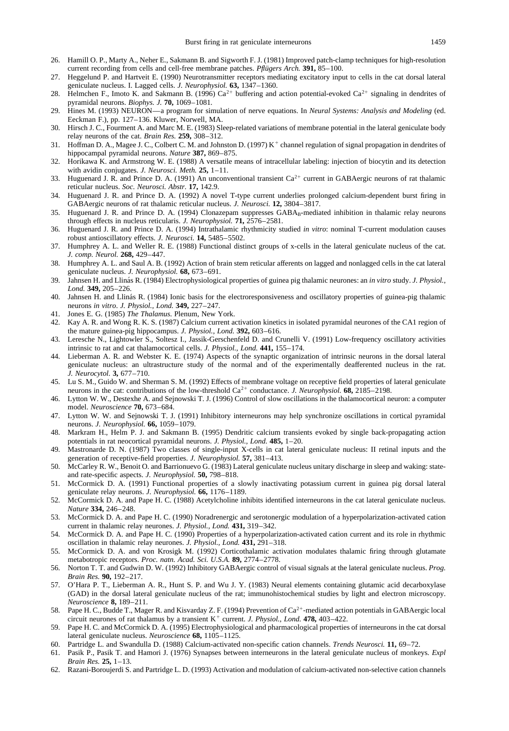- 26. Hamill O. P., Marty A., Neher E., Sakmann B. and Sigworth F. J. (1981) Improved patch-clamp techniques for high-resolution current recording from cells and cell-free membrane patches. *Pflugers Arch.* **391**, 85-100.
- 27. Heggelund P. and Hartveit E. (1990) Neurotransmitter receptors mediating excitatory input to cells in the cat dorsal lateral geniculate nucleus. I. Lagged cells. *J. Neurophysiol.* **63,** 1347–1360.
- 28. Helmchen F., Imoto K. and Sakmann B. (1996) Ca<sup>2+</sup> buffering and action potential-evoked Ca<sup>2+</sup> signaling in dendrites of pyramidal neurons. *Biophys. J.* **70,** 1069–1081.
- 29. Hines M. (1993) NEURON—a program for simulation of nerve equations. In *Neural Systems: Analysis and Modeling* (ed. Eeckman F.), pp. 127–136. Kluwer, Norwell, MA.
- 30. Hirsch J. C., Fourment A. and Marc M. E. (1983) Sleep-related variations of membrane potential in the lateral geniculate body relay neurons of the cat. *Brain Res.* **259,** 308–312.
- 31. Hoffman D. A., Magee J. C., Colbert C. M. and Johnston D. (1997) K<sup>+</sup> channel regulation of signal propagation in dendrites of hippocampal pyramidal neurons. *Nature* **387,** 869–875.
- 32. Horikawa K. and Armstrong W. E. (1988) A versatile means of intracellular labeling: injection of biocytin and its detection with avidin conjugates. *J. Neurosci. Meth.* **25,** 1–11.
- 33. Huguenard J. R. and Prince D. A. (1991) An unconventional transient  $Ca^{2+}$  current in GABAergic neurons of rat thalamic reticular nucleus. *Soc. Neurosci. Abstr.* **17,** 142.9.
- 34. Huguenard J. R. and Prince D. A. (1992) A novel T-type current underlies prolonged calcium-dependent burst firing in GABAergic neurons of rat thalamic reticular nucleus. *J. Neurosci.* **12,** 3804–3817.
- 35. Huguenard J. R. and Prince D. A. (1994) Clonazepam suppresses GABA<sub>B</sub>-mediated inhibition in thalamic relay neurons through effects in nucleus reticularis. *J. Neurophysiol.* **71,** 2576–2581.
- 36. Huguenard J. R. and Prince D. A. (1994) Intrathalamic rhythmicity studied *in vitro*: nominal T-current modulation causes robust antioscillatory effects. *J. Neurosci.* **14,** 5485–5502.
- 37. Humphrey A. L. and Weller R. E. (1988) Functional distinct groups of x-cells in the lateral geniculate nucleus of the cat. *J. comp. Neurol.* **268,** 429–447.
- 38. Humphrey A. L. and Saul A. B. (1992) Action of brain stem reticular afferents on lagged and nonlagged cells in the cat lateral geniculate nucleus. *J. Neurophysiol.* **68,** 673–691.
- 39. Jahnsen H. and Llina´s R. (1984) Electrophysiological properties of guinea pig thalamic neurones: an *in vitro* study. *J. Physiol., Lond.* **349,** 205–226.
- 40. Jahnsen H. and Llina´s R. (1984) Ionic basis for the electroresponsiveness and oscillatory properties of guinea-pig thalamic neurons *in vitro*. *J. Physiol., Lond.* **349,** 227–247.
- 41. Jones E. G. (1985) *The Thalamus*. Plenum, New York.
- 42. Kay A. R. and Wong R. K. S. (1987) Calcium current activation kinetics in isolated pyramidal neurones of the CA1 region of the mature guinea-pig hippocampus. *J. Physiol., Lond.* **392,** 603–616.
- 43. Leresche N., Lightowler S., Soltesz I., Jassik-Gerschenfeld D. and Crunelli V. (1991) Low-frequency oscillatory activities intrinsic to rat and cat thalamocortical cells. *J. Physiol., Lond.* **441,** 155–174.
- 44. Lieberman A. R. and Webster K. E. (1974) Aspects of the synaptic organization of intrinsic neurons in the dorsal lateral geniculate nucleus: an ultrastructure study of the normal and of the experimentally deafferented nucleus in the rat. *J. Neurocytol.* **3,** 677–710.
- 45. Lu S. M., Guido W. and Sherman S. M. (1992) Effects of membrane voltage on receptive field properties of lateral geniculate neurons in the cat: contributions of the low-threshold Ca<sup>2+</sup> conductance. *J. Neurophysiol.* **68,** 2185–2198.
- Lytton W. W., Destexhe A. and Sejnowski T. J. (1996) Control of slow oscillations in the thalamocortical neuron: a computer model. *Neuroscience* **70,** 673–684.
- 47. Lytton W. W. and Sejnowski T. J. (1991) Inhibitory interneurons may help synchronize oscillations in cortical pyramidal neurons. *J. Neurophysiol.* **66,** 1059–1079.
- 48. Markram H., Helm P. J. and Sakmann B. (1995) Dendritic calcium transients evoked by single back-propagating action potentials in rat neocortical pyramidal neurons. *J. Physiol., Lond.* **485,** 1–20.
- 49. Mastronarde D. N. (1987) Two classes of single-input X-cells in cat lateral geniculate nucleus: II retinal inputs and the generation of receptive-field properties. *J. Neurophysiol.* **57,** 381–413.
- 50. McCarley R. W., Benoit O. and Barrionuevo G. (1983) Lateral geniculate nucleus unitary discharge in sleep and waking: stateand rate-specific aspects. *J. Neurophysiol.* **50,** 798–818.
- 51. McCormick D. A. (1991) Functional properties of a slowly inactivating potassium current in guinea pig dorsal lateral geniculate relay neurons. *J. Neurophysiol.* **66,** 1176–1189.
- 52. McCormick D. A. and Pape H. C. (1988) Acetylcholine inhibits identified interneurons in the cat lateral geniculate nucleus. *Nature* **334,** 246–248.
- 53. McCormick D. A. and Pape H. C. (1990) Noradrenergic and serotonergic modulation of a hyperpolarization-activated cation current in thalamic relay neurones. *J. Physiol., Lond.* **431,** 319–342.
- 54. McCormick D. A. and Pape H. C. (1990) Properties of a hyperpolarization-activated cation current and its role in rhythmic oscillation in thalamic relay neurones. *J. Physiol., Lond.* **431,** 291–318.
- 55. McCormick D. A. and von Krosigk M. (1992) Corticothalamic activation modulates thalamic firing through glutamate metabotropic receptors. *Proc. natn. Acad. Sci. U.S.A.* **89,** 2774–2778.
- 56. Norton T. T. and Gudwin D. W. (1992) Inhibitory GABAergic control of visual signals at the lateral geniculate nucleus. *Prog. Brain Res.* **90,** 192–217.
- 57. O'Hara P. T., Lieberman A. R., Hunt S. P. and Wu J. Y. (1983) Neural elements containing glutamic acid decarboxylase (GAD) in the dorsal lateral geniculate nucleus of the rat; immunohistochemical studies by light and electron microscopy. *Neuroscience* **8,** 189–211.
- 58. Pape H. C., Budde T., Mager R. and Kisvarday Z. F. (1994) Prevention of Ca<sup>2+</sup>-mediated action potentials in GABAergic local circuit neurones of rat thalamus by a transient  $K^+$  current. *J. Physiol., Lond.* **478,** 403–422.
- 59. Pape H. C. and McCormick D. A. (1995) Electrophysiological and pharmacological properties of interneurons in the cat dorsal lateral geniculate nucleus. *Neuroscience* **68,** 1105–1125.
- 60. Partridge L. and Swandulla D. (1988) Calcium-activated non-specific cation channels. *Trends Neurosci.* **11,** 69–72.
- 61. Pasik P., Pasik T. and Hamori J. (1976) Synapses between interneurons in the lateral geniculate nucleus of monkeys. *Expl Brain Res.* **25,** 1–13.
- 62. Razani-Boroujerdi S. and Partridge L. D. (1993) Activation and modulation of calcium-activated non-selective cation channels